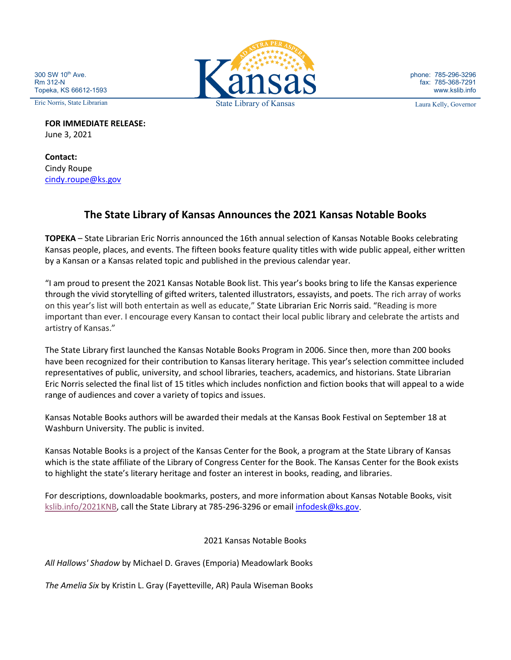300 SW 10<sup>th</sup> Ave. Rm 312-N Topeka, KS 66612-1593

**FOR IMMEDIATE RELEASE:** June 3, 2021

**Contact:** Cindy Roupe [cindy.roupe@ks.gov](mailto:cindy.roupe@ks.gov)

## **The State Library of Kansas Announces the 2021 Kansas Notable Books**

**TOPEKA** – State Librarian Eric Norris announced the 16th annual selection of Kansas Notable Books celebrating Kansas people, places, and events. The fifteen books feature quality titles with wide public appeal, either written by a Kansan or a Kansas related topic and published in the previous calendar year.

"I am proud to present the 2021 Kansas Notable Book list. This year's books bring to life the Kansas experience through the vivid storytelling of gifted writers, talented illustrators, essayists, and poets. The rich array of works on this year's list will both entertain as well as educate," State Librarian Eric Norris said. "Reading is more important than ever. I encourage every Kansan to contact their local public library and celebrate the artists and artistry of Kansas."

The State Library first launched the Kansas Notable Books Program in 2006. Since then, more than 200 books have been recognized for their contribution to Kansas literary heritage. This year's selection committee included representatives of public, university, and school libraries, teachers, academics, and historians. State Librarian Eric Norris selected the final list of 15 titles which includes nonfiction and fiction books that will appeal to a wide range of audiences and cover a variety of topics and issues.

Kansas Notable Books authors will be awarded their medals at the Kansas Book Festival on September 18 at Washburn University. The public is invited.

Kansas Notable Books is a project of the Kansas Center for the Book, a program at the State Library of Kansas which is the state affiliate of the Library of Congress Center for the Book. The Kansas Center for the Book exists to highlight the state's literary heritage and foster an interest in books, reading, and libraries.

For descriptions, downloadable bookmarks, posters, and more information about Kansas Notable Books, visit [kslib.info/2021KNB,](https://www.kslib.info/2021KNB) call the State Library at 785-296-3296 or email [infodesk@ks.gov.](mailto:infodesk@ks.gov)

2021 Kansas Notable Books

*All Hallows' Shadow* by Michael D. Graves (Emporia) Meadowlark Books

*The Amelia Six* by Kristin L. Gray (Fayetteville, AR) Paula Wiseman Books



phone: 785-296-3296 fax: 785-368-7291 www.kslib.info